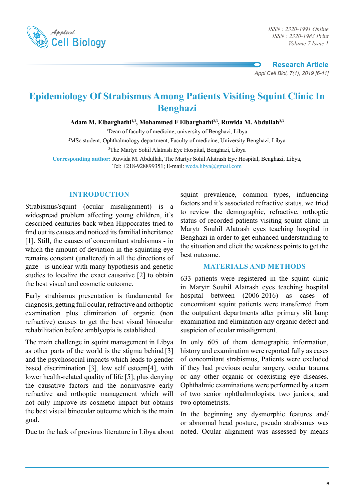

*ISSN : 2320-1983 Print Volume 7 Issue 1*

**Research Article** *Appl Cell Biol, 7(1), 2019 [6-11]*

# **Epidemiology Of Strabismus Among Patients Visiting Squint Clinic In Benghazi**

Adam M. Elbarghathi<sup>1,3</sup>, Mohammed F Elbarghathi<sup>2,3</sup>, Ruwida M. Abdullah<sup>2,3</sup>

1 Dean of faculty of medicine, university of Benghazi, Libya

2 MSc student, Ophthalmology department, Faculty of medicine, University Benghazi, Libya

3 The Martyr Sohil Alatrash Eye Hospital, Benghazi, Libya

**Corresponding author:** Ruwida M. Abdullah, The Martyr Sohil Alatrash Eye Hospital, Benghazi, Libya, Tel: +218-928899351; E-mail: weda.libya@gmail.com

#### **INTRODUCTION**

Strabismus/squint (ocular misalignment) is a widespread problem affecting young children, it's described centuries back when Hippocrates tried to find out its causes and noticed its familial inheritance [1]. Still, the causes of concomitant strabismus - in which the amount of deviation in the squinting eye remains constant (unaltered) in all the directions of gaze - is unclear with many hypothesis and genetic studies to localize the exact causative [2] to obtain the best visual and cosmetic outcome.

Early strabismus presentation is fundamental for diagnosis, getting full ocular, refractive and orthoptic examination plus elimination of organic (non refractive) causes to get the best visual binocular rehabilitation before amblyopia is established.

The main challenge in squint management in Libya as other parts of the world is the stigma behind [3] and the psychosocial impacts which leads to gender based discrimination [3], low self esteem[4], with lower health-related quality of life [5]; plus denying the causative factors and the noninvasive early refractive and orthoptic management which will not only improve its cosmetic impact but obtains the best visual binocular outcome which is the main goal.

Due to the lack of previous literature in Libya about

squint prevalence, common types, influencing factors and it's associated refractive status, we tried to review the demographic, refractive, orthoptic status of recorded patients visiting squint clinic in Marytr Souhil Alatrash eyes teaching hospital in Benghazi in order to get enhanced understanding to the situation and elicit the weakness points to get the best outcome.

#### **MATERIALS AND METHODS**

633 patients were registered in the squint clinic in Marytr Souhil Alatrash eyes teaching hospital hospital between (2006-2016) as cases of concomitant squint patients were transferred from the outpatient departments after primary slit lamp examination and elimination any organic defect and suspicion of ocular misalignment.

In only 605 of them demographic information, history and examination were reported fully as cases of concomitant strabismus, Patients were excluded if they had previous ocular surgery, ocular trauma or any other organic or coexisting eye diseases. Ophthalmic examinations were performed by a team of two senior ophthalmologists, two juniors, and two optometrists.

In the beginning any dysmorphic features and/ or abnormal head posture, pseudo strabismus was noted. Ocular alignment was assessed by means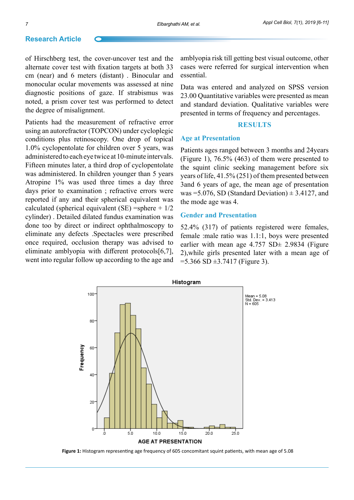#### **Research Article**

of Hirschberg test, the cover-uncover test and the alternate cover test with fixation targets at both 33 cm (near) and 6 meters (distant) . Binocular and monocular ocular movements was assessed at nine diagnostic positions of gaze. If strabismus was noted, a prism cover test was performed to detect the degree of misalignment.

Patients had the measurement of refractive error using an autorefractor (TOPCON) under cycloplegic conditions plus retinoscopy. One drop of topical 1.0% cyclopentolate for children over 5 years, was administered to each eye twice at 10-minute intervals. Fifteen minutes later, a third drop of cyclopentolate was administered. In children younger than 5 years Atropine 1% was used three times a day three days prior to examination ; refractive errors were reported if any and their spherical equivalent was calculated (spherical equivalent (SE) =sphere  $+1/2$ cylinder) . Detailed dilated fundus examination was done too by direct or indirect ophthalmoscopy to eliminate any defects .Spectacles were prescribed once required, occlusion therapy was advised to eliminate amblyopia with different protocols[6,7], went into regular follow up according to the age and amblyopia risk till getting best visual outcome, other cases were referred for surgical intervention when essential.

Data was entered and analyzed on SPSS version 23.00 Quantitative variables were presented as mean and standard deviation. Qualitative variables were presented in terms of frequency and percentages.

#### **RESULTS**

#### **Age at Presentation**

Patients ages ranged between 3 months and 24years (Figure 1), 76.5% (463) of them were presented to the squint clinic seeking management before six years of life, 41.5% (251) of them presented between 3and 6 years of age, the mean age of presentation was =5.076, SD (Standard Deviation)  $\pm$  3.4127, and the mode age was 4.

#### **Gender and Presentation**

52.4% (317) of patients registered were females, female :male ratio was 1.1:1, boys were presented earlier with mean age  $4.757$  SD $\pm$  2.9834 (Figure 2),while girls presented later with a mean age of  $=$  5.366 SD  $\pm$ 3.7417 (Figure 3).



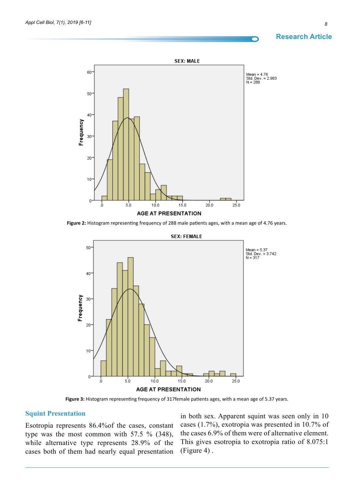# **Research Article**



**Figure 2:** Histogram representing frequency of 288 male patients ages, with a mean age of 4.76 years.



**Figure 3:** Histogram representing frequency of 317female patients ages, with a mean age of 5.37 years.

#### **Squint Presentation**

Esotropia represents 86.4%of the cases, constant type was the most common with 57.5 % (348), while alternative type represents 28.9% of the cases both of them had nearly equal presentation

in both sex. Apparent squint was seen only in 10 cases (1.7%), exotropia was presented in 10.7% of the cases 6.9% of them were of alternative element. This gives esotropia to exotropia ratio of 8.075:1 (Figure 4) .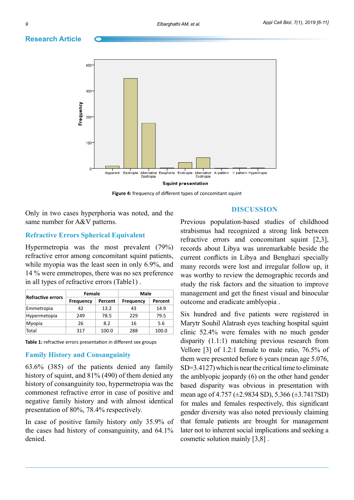### **Research Article**



**Figure 4:** frequency of different types of concomitant squint

Only in two cases hyperphoria was noted, and the same number for A&V patterns.

### **Refractive Errors Spherical Equivalent**

Hypermetropia was the most prevalent (79%) refractive error among concomitant squint patients, while myopia was the least seen in only 6.9%, and 14 % were emmetropes, there was no sex preference in all types of refractive errors (Table1) .

| <b>Refractive errors</b> | Female    |         | Male             |         |
|--------------------------|-----------|---------|------------------|---------|
|                          | Frequency | Percent | <b>Frequency</b> | Percent |
| Emmetropia               | 42        | 13.2    | 43               | 14.9    |
| Hypermetopia             | 249       | 78.5    | 229              | 79.5    |
| Myopia                   | 26        | 8.2     | 16               | 5.6     |
| Total                    | 317       | 100.0   | 288              | 100.0   |

**Table 1:** refractive errors presentation in different sex groups

## **Family History and Consanguinity**

63.6% (385) of the patients denied any family history of squint, and 81% (490) of them denied any history of consanguinity too, hypermetropia was the commonest refractive error in case of positive and negative family history and with almost identical presentation of 80%, 78.4% respectively.

In case of positive family history only 35.9% of the cases had history of consanguinity, and 64.1% denied.

### **DISCUSSION**

Previous population-based studies of childhood strabismus had recognized a strong link between refractive errors and concomitant squint [2,3], records about Libya was unremarkable beside the current conflicts in Libya and Benghazi specially many records were lost and irregular follow up, it was worthy to review the demographic records and study the risk factors and the situation to improve management and get the finest visual and binocular outcome and eradicate amblyopia .

Six hundred and five patients were registered in Marytr Souhil Alatrash eyes teaching hospital squint clinic 52.4% were females with no much gender disparity (1.1:1) matching previous research from Vellore [3] of 1.2:1 female to male ratio, 76.5% of them were presented before 6 years (mean age 5.076, SD=3.4127) which is near the critical time to eliminate the amblyopic jeopardy (6) on the other hand gender based disparity was obvious in presentation with mean age of 4.757 (±2.9834 SD), 5.366 (±3.7417SD) for males and females respectively, this significant gender diversity was also noted previously claiming that female patients are brought for management later not to inherent social implications and seeking a cosmetic solution mainly [3,8] .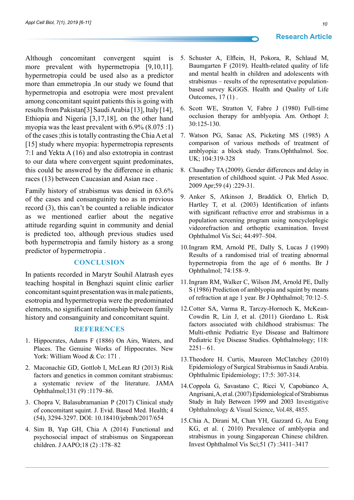Although concomitant convergent squint is more prevalent with hypermetropia [9,10,11]. hypermetropia could be used also as a predictor more than emmetropia .In our study we found that hypermetropia and esotropia were most prevalent among concomitant squint patients this is going with results from Pakistan[3] Saudi Arabia [13], Italy [14], Ethiopia and Nigeria [3,17,18], on the other hand myopia was the least prevalent with 6.9% (8.075 :1) of the cases ;this is totally contrasting the ChiaA et al [15] study where myopia: hypermetropia represents 7:1 and Yekta A (16) and also extotropia in contrast to our data where convergent squint predominates, this could be answered by the difference in ethanic races (13) between Caucasian and Asian race .

Family history of strabismus was denied in 63.6% of the cases and consanguinity too as in previous record (3), this can't be counted a reliable indicator as we mentioned earlier about the negative attitude regarding squint in community and denial is predicted too, although previous studies used both hypermetropia and family history as a srong predictor of hypermetropia .

#### **Conclusion**

In patients recorded in Marytr Souhil Alatrash eyes teaching hospital in Benghazi squint clinic earlier concomitant squint presentation was in male patients, esotropia and hypermetropia were the predominated elements, no significant relationship between family history and consanguinity and concomitant squint.

#### **References**

- 1. Hippocrates, Adams F (1886) On Airs, Waters, and Places. The Genuine Works of Hippocrates. New York: William Wood & Co: 171.
- 2. Maconachie GD, Gottlob I, McLean RJ (2013) Risk factors and genetics in common comitant strabismus: a systematic review of the literature. JAMA Ophthalmol;131 (9) :1179–86.
- 3. Chopra V, Balasubramanian P (2017) Clinical study of concomitant squint. J. Evid. Based Med. Health; 4 (54), 3294-3297. DOI: 10.18410/jebmh/2017/654
- 4. Sim B, Yap GH, Chia A (2014) Functional and psychosocial impact of strabismus on Singaporean children. J AAPO;18 (2) :178–82
- 5. Schuster A, Elflein, H, Pokora, R, Schlaud M, Baumgarten F (2019). Health-related quality of life and mental health in children and adolescents with strabismus – results of the representative populationbased survey KiGGS. Health and Quality of Life Outcomes, 17 (1) .
- 6. Scott WE, Stratton V, Fabre J (1980) Full-time occlusion therapy for amblyopia. Am. Orthopt J; 30:125-130.
- 7. Watson PG, Sanac AS, Picketing MS (1985) A comparison of various methods of treatment of amblyopia: a block study. Trans.Ophthalmol. Soc. UK; 104:319-328
- 8. Chaudhry TA (2009). Gender differences and delay in presentation of childhood squint. -J Pak Med Assoc. 2009 Apr;59 (4) :229-31.
- 9. Anker S, Atkinson J, Braddick O, Ehrlich D, Hartley T, et al. (2003) Identification of infants with significant refractive error and strabismus in a population screening program using noncycloplegic videorefraction and orthoptic examination. Invest Ophthalmol Vis Sci; 44:497–504.
- 10.Ingram RM, Arnold PE, Dally S, Lucas J (1990) Results of a randomised trial of treating abnormal hypermetropia from the age of 6 months. Br J Ophthalmol; 74:158–9.
- 11.Ingram RM, Walker C, Wilson JM, Arnold PE, Dally S (1986) Prediction of amblyopia and squint by means of refraction at age 1 year. Br J Ophthalmol; 70:12–5.
- 12.Cotter SA, Varma R, Tarczy-Hornoch K, McKean-Cowdin R, Lin J, et al. (2011) Giordano L. Risk factors associated with childhood strabismus: The Multi-ethnic Pediatric Eye Disease and Baltimore Pediatric Eye Disease Studies. Ophthalmology; 118:  $2251-61.$
- 13.Theodore H. Curtis, Maureen McClatchey (2010) Epidemiology of Surgical Strabismus in Saudi Arabia. Ophthalmic Epidemiology; 17:5: 307-314.
- 14.Coppola G, Savastano C, Ricci V, Capobianco A, Angrisani, A, et al. (2007) Epidemiological of Strabismus Study in Italy Between 1999 and 2003 Investigative Ophthalmology & Visual Science, Vol.48, 4855.
- 15.Chia A, Dirani M, Chan YH, Gazzard G, Au Eong KG, et al. ( 2010) Prevalence of amblyopia and strabismus in young Singaporean Chinese children. Invest Ophthalmol Vis Sci;51 (7) :3411–3417

#### **Research Article**